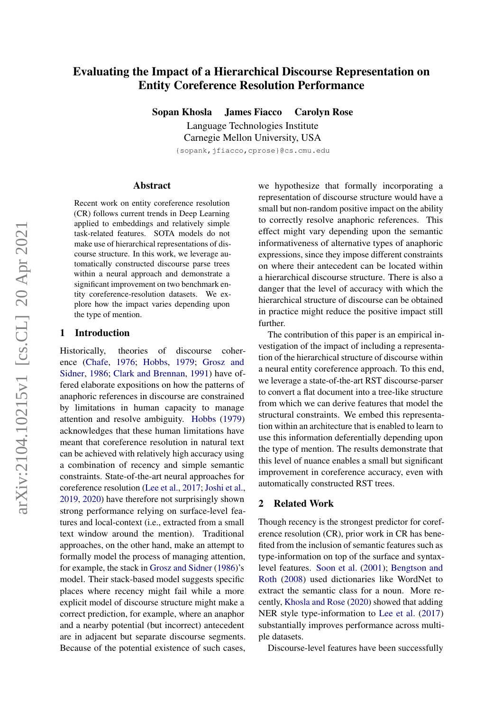# Evaluating the Impact of a Hierarchical Discourse Representation on Entity Coreference Resolution Performance

Sopan Khosla James Fiacco Carolyn Rose

Language Technologies Institute Carnegie Mellon University, USA {sopank,jfiacco,cprose}@cs.cmu.edu

#### Abstract

Recent work on entity coreference resolution (CR) follows current trends in Deep Learning applied to embeddings and relatively simple task-related features. SOTA models do not make use of hierarchical representations of discourse structure. In this work, we leverage automatically constructed discourse parse trees within a neural approach and demonstrate a significant improvement on two benchmark entity coreference-resolution datasets. We explore how the impact varies depending upon the type of mention.

### 1 Introduction

Historically, theories of discourse coherence [\(Chafe,](#page-4-0) [1976;](#page-4-0) [Hobbs,](#page-4-1) [1979;](#page-4-1) [Grosz and](#page-4-2) [Sidner,](#page-4-2) [1986;](#page-4-2) [Clark and Brennan,](#page-4-3) [1991\)](#page-4-3) have offered elaborate expositions on how the patterns of anaphoric references in discourse are constrained by limitations in human capacity to manage attention and resolve ambiguity. [Hobbs](#page-4-1) [\(1979\)](#page-4-1) acknowledges that these human limitations have meant that coreference resolution in natural text can be achieved with relatively high accuracy using a combination of recency and simple semantic constraints. State-of-the-art neural approaches for coreference resolution [\(Lee et al.,](#page-5-0) [2017;](#page-5-0) [Joshi et al.,](#page-4-4) [2019,](#page-4-4) [2020\)](#page-4-5) have therefore not surprisingly shown strong performance relying on surface-level features and local-context (i.e., extracted from a small text window around the mention). Traditional approaches, on the other hand, make an attempt to formally model the process of managing attention, for example, the stack in [Grosz and Sidner](#page-4-2) [\(1986\)](#page-4-2)'s model. Their stack-based model suggests specific places where recency might fail while a more explicit model of discourse structure might make a correct prediction, for example, where an anaphor and a nearby potential (but incorrect) antecedent are in adjacent but separate discourse segments. Because of the potential existence of such cases, we hypothesize that formally incorporating a representation of discourse structure would have a small but non-random positive impact on the ability to correctly resolve anaphoric references. This effect might vary depending upon the semantic informativeness of alternative types of anaphoric expressions, since they impose different constraints on where their antecedent can be located within a hierarchical discourse structure. There is also a danger that the level of accuracy with which the hierarchical structure of discourse can be obtained in practice might reduce the positive impact still further.

The contribution of this paper is an empirical investigation of the impact of including a representation of the hierarchical structure of discourse within a neural entity coreference approach. To this end, we leverage a state-of-the-art RST discourse-parser to convert a flat document into a tree-like structure from which we can derive features that model the structural constraints. We embed this representation within an architecture that is enabled to learn to use this information deferentially depending upon the type of mention. The results demonstrate that this level of nuance enables a small but significant improvement in coreference accuracy, even with automatically constructed RST trees.

## 2 Related Work

Though recency is the strongest predictor for coreference resolution (CR), prior work in CR has benefited from the inclusion of semantic features such as type-information on top of the surface and syntaxlevel features. [Soon et al.](#page-5-1) [\(2001\)](#page-5-1); [Bengtson and](#page-4-6) [Roth](#page-4-6) [\(2008\)](#page-4-6) used dictionaries like WordNet to extract the semantic class for a noun. More recently, [Khosla and Rose](#page-5-2) [\(2020\)](#page-5-2) showed that adding NER style type-information to [Lee et al.](#page-5-0) [\(2017\)](#page-5-0) substantially improves performance across multiple datasets.

Discourse-level features have been successfully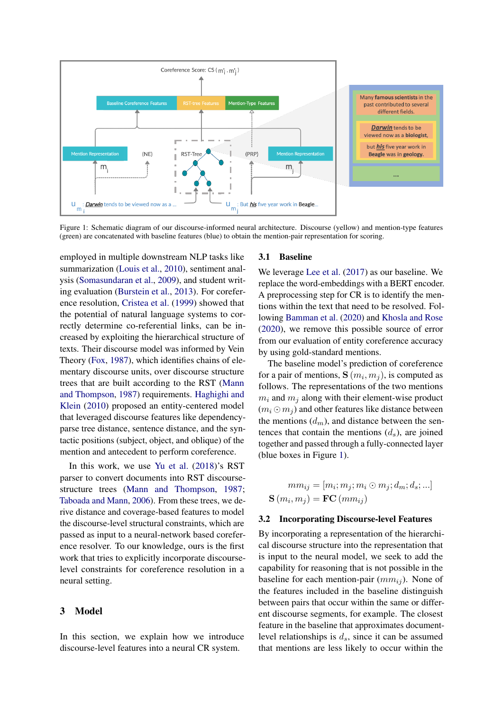<span id="page-1-0"></span>

Figure 1: Schematic diagram of our discourse-informed neural architecture. Discourse (yellow) and mention-type features (green) are concatenated with baseline features (blue) to obtain the mention-pair representation for scoring.

employed in multiple downstream NLP tasks like summarization [\(Louis et al.,](#page-5-3) [2010\)](#page-5-3), sentiment analysis [\(Somasundaran et al.,](#page-5-4) [2009\)](#page-5-4), and student writing evaluation [\(Burstein et al.,](#page-4-7) [2013\)](#page-4-7). For coreference resolution, [Cristea et al.](#page-4-8) [\(1999\)](#page-4-8) showed that the potential of natural language systems to correctly determine co-referential links, can be increased by exploiting the hierarchical structure of texts. Their discourse model was informed by Vein Theory [\(Fox,](#page-4-9) [1987\)](#page-4-9), which identifies chains of elementary discourse units, over discourse structure trees that are built according to the RST [\(Mann](#page-5-5) [and Thompson,](#page-5-5) [1987\)](#page-5-5) requirements. [Haghighi and](#page-4-10) [Klein](#page-4-10) [\(2010\)](#page-4-10) proposed an entity-centered model that leveraged discourse features like dependencyparse tree distance, sentence distance, and the syntactic positions (subject, object, and oblique) of the mention and antecedent to perform coreference.

In this work, we use [Yu et al.](#page-5-6) [\(2018\)](#page-5-6)'s RST parser to convert documents into RST discoursestructure trees [\(Mann and Thompson,](#page-5-5) [1987;](#page-5-5) [Taboada and Mann,](#page-5-7) [2006\)](#page-5-7). From these trees, we derive distance and coverage-based features to model the discourse-level structural constraints, which are passed as input to a neural-network based coreference resolver. To our knowledge, ours is the first work that tries to explicitly incorporate discourselevel constraints for coreference resolution in a neural setting.

#### 3 Model

In this section, we explain how we introduce discourse-level features into a neural CR system.

#### 3.1 Baseline

We leverage [Lee et al.](#page-5-0) [\(2017\)](#page-5-0) as our baseline. We replace the word-embeddings with a BERT encoder. A preprocessing step for CR is to identify the mentions within the text that need to be resolved. Following [Bamman et al.](#page-4-11) [\(2020\)](#page-4-11) and [Khosla and Rose](#page-5-2) [\(2020\)](#page-5-2), we remove this possible source of error from our evaluation of entity coreference accuracy by using gold-standard mentions.

The baseline model's prediction of coreference for a pair of mentions,  $\mathbf{S}(m_i, m_j)$ , is computed as follows. The representations of the two mentions  $m_i$  and  $m_j$  along with their element-wise product  $(m_i \odot m_j)$  and other features like distance between the mentions  $(d_m)$ , and distance between the sentences that contain the mentions  $(d_s)$ , are joined together and passed through a fully-connected layer (blue boxes in Figure [1\)](#page-1-0).

$$
mm_{ij} = [m_i; m_j; m_i \odot m_j; d_m; d_s; ...]
$$

$$
\mathbf{S}(m_i, m_j) = \mathbf{FC}(mm_{ij})
$$

#### 3.2 Incorporating Discourse-level Features

By incorporating a representation of the hierarchical discourse structure into the representation that is input to the neural model, we seek to add the capability for reasoning that is not possible in the baseline for each mention-pair  $(mm_{ij})$ . None of the features included in the baseline distinguish between pairs that occur within the same or different discourse segments, for example. The closest feature in the baseline that approximates documentlevel relationships is  $d_s$ , since it can be assumed that mentions are less likely to occur within the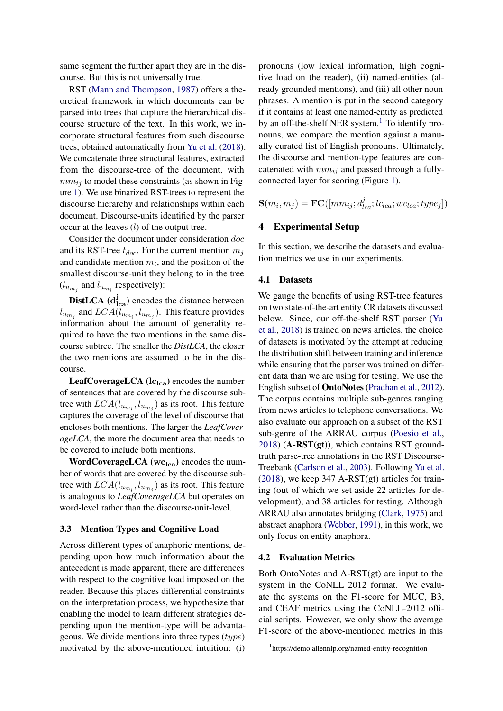same segment the further apart they are in the discourse. But this is not universally true.

RST [\(Mann and Thompson,](#page-5-5) [1987\)](#page-5-5) offers a theoretical framework in which documents can be parsed into trees that capture the hierarchical discourse structure of the text. In this work, we incorporate structural features from such discourse trees, obtained automatically from [Yu et al.](#page-5-6) [\(2018\)](#page-5-6). We concatenate three structural features, extracted from the discourse-tree of the document, with  $mm_{ii}$  to model these constraints (as shown in Figure [1\)](#page-1-0). We use binarized RST-trees to represent the discourse hierarchy and relationships within each document. Discourse-units identified by the parser occur at the leaves (l) of the output tree.

Consider the document under consideration doc and its RST-tree  $t_{doc}$ . For the current mention  $m_j$ and candidate mention  $m_i$ , and the position of the smallest discourse-unit they belong to in the tree  $(l_{u_{m_j}}$  and  $l_{u_{m_i}}$  respectively):

**DistLCA** ( $d_{lca}^{j}$ ) encodes the distance between  $l_{u_{m_j}}$  and  $LCA(l_{u_{m_i}}, l_{u_{m_j}})$ . This feature provides information about the amount of generality required to have the two mentions in the same discourse subtree. The smaller the *DistLCA*, the closer the two mentions are assumed to be in the discourse.

**LeafCoverageLCA** ( $lc_{lca}$ ) encodes the number of sentences that are covered by the discourse subtree with  $LCA(l_{u_{m_i}}, l_{u_{m_j}})$  as its root. This feature captures the coverage of the level of discourse that encloses both mentions. The larger the *LeafCoverageLCA*, the more the document area that needs to be covered to include both mentions.

**WordCoverageLCA** ( $wc<sub>lca</sub>$ ) encodes the number of words that are covered by the discourse subtree with  $LCA(l_{u_{m_i}}, l_{u_{m_j}})$  as its root. This feature is analogous to *LeafCoverageLCA* but operates on word-level rather than the discourse-unit-level.

#### 3.3 Mention Types and Cognitive Load

Across different types of anaphoric mentions, depending upon how much information about the antecedent is made apparent, there are differences with respect to the cognitive load imposed on the reader. Because this places differential constraints on the interpretation process, we hypothesize that enabling the model to learn different strategies depending upon the mention-type will be advantageous. We divide mentions into three types  $(type)$ motivated by the above-mentioned intuition: (i)

pronouns (low lexical information, high cognitive load on the reader), (ii) named-entities (already grounded mentions), and (iii) all other noun phrases. A mention is put in the second category if it contains at least one named-entity as predicted by an off-the-shelf NER system. $<sup>1</sup>$  $<sup>1</sup>$  $<sup>1</sup>$  To identify pro-</sup> nouns, we compare the mention against a manually curated list of English pronouns. Ultimately, the discourse and mention-type features are concatenated with  $mm_{ij}$  and passed through a fullyconnected layer for scoring (Figure [1\)](#page-1-0).

 $\mathbf{S}(m_i, m_j) = \mathbf{FC}([mm_{ij}; d_{lca}^j; lc_{lca}; wc_{lca}; type_j])$ 

# 4 Experimental Setup

In this section, we describe the datasets and evaluation metrics we use in our experiments.

#### 4.1 Datasets

We gauge the benefits of using RST-tree features on two state-of-the-art entity CR datasets discussed below. Since, our off-the-shelf RST parser [\(Yu](#page-5-6) [et al.,](#page-5-6) [2018\)](#page-5-6) is trained on news articles, the choice of datasets is motivated by the attempt at reducing the distribution shift between training and inference while ensuring that the parser was trained on different data than we are using for testing. We use the English subset of OntoNotes [\(Pradhan et al.,](#page-5-8) [2012\)](#page-5-8). The corpus contains multiple sub-genres ranging from news articles to telephone conversations. We also evaluate our approach on a subset of the RST sub-genre of the ARRAU corpus [\(Poesio et al.,](#page-5-9)  $2018$ ) (A-RST(gt)), which contains RST groundtruth parse-tree annotations in the RST Discourse-Treebank [\(Carlson et al.,](#page-4-12) [2003\)](#page-4-12). Following [Yu et al.](#page-5-6) [\(2018\)](#page-5-6), we keep 347 A-RST(gt) articles for training (out of which we set aside 22 articles for development), and 38 articles for testing. Although ARRAU also annotates bridging [\(Clark,](#page-4-13) [1975\)](#page-4-13) and abstract anaphora [\(Webber,](#page-5-10) [1991\)](#page-5-10), in this work, we only focus on entity anaphora.

#### 4.2 Evaluation Metrics

Both OntoNotes and A-RST(gt) are input to the system in the CoNLL 2012 format. We evaluate the systems on the F1-score for MUC, B3, and CEAF metrics using the CoNLL-2012 official scripts. However, we only show the average F1-score of the above-mentioned metrics in this

<span id="page-2-0"></span><sup>1</sup> https://demo.allennlp.org/named-entity-recognition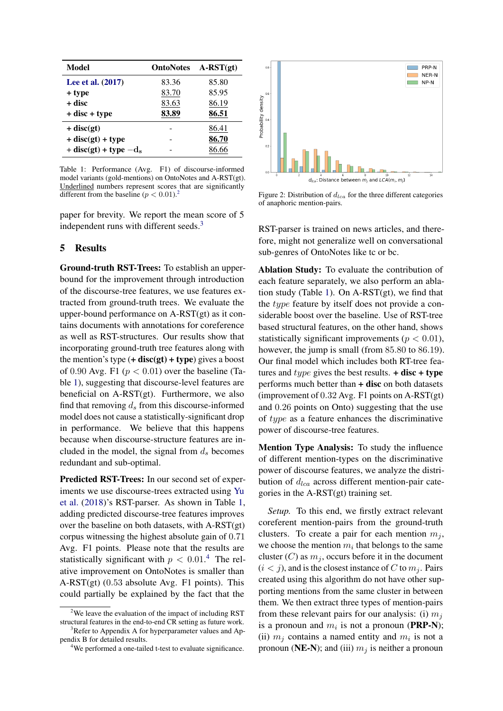<span id="page-3-2"></span>

| Model                      | <b>OntoNotes</b> | $A-RST(st)$ |
|----------------------------|------------------|-------------|
| Lee et al. (2017)          | 83.36            | 85.80       |
| + type                     | 83.70            | 85.95       |
| + disc                     | 83.63            | 86.19       |
| $+$ disc $+$ type          | 83.89            | 86.51       |
| $+$ disc(gt)               |                  | 86.41       |
| $+ disc(gt) + type$        |                  | 86.70       |
| $+$ disc(gt) + type $-d_s$ |                  | 86 66       |

Table 1: Performance (Avg. F1) of discourse-informed model variants (gold-mentions) on OntoNotes and A-RST(gt). Underlined numbers represent scores that are significantly different from the baseline ( $p < 0.01$ ).

paper for brevity. We report the mean score of 5 independent runs with different seeds.<sup>[3](#page-3-1)</sup>

### 5 Results

Ground-truth RST-Trees: To establish an upperbound for the improvement through introduction of the discourse-tree features, we use features extracted from ground-truth trees. We evaluate the upper-bound performance on A-RST(gt) as it contains documents with annotations for coreference as well as RST-structures. Our results show that incorporating ground-truth tree features along with the mention's type  $(+$  disc(gt) + type) gives a boost of 0.90 Avg. F1 ( $p < 0.01$ ) over the baseline (Table [1\)](#page-3-2), suggesting that discourse-level features are beneficial on A-RST(gt). Furthermore, we also find that removing  $d_s$  from this discourse-informed model does not cause a statistically-significant drop in performance. We believe that this happens because when discourse-structure features are included in the model, the signal from  $d_s$  becomes redundant and sub-optimal.

Predicted RST-Trees: In our second set of experiments we use discourse-trees extracted using [Yu](#page-5-6) [et al.](#page-5-6) [\(2018\)](#page-5-6)'s RST-parser. As shown in Table [1,](#page-3-2) adding predicted discourse-tree features improves over the baseline on both datasets, with A-RST(gt) corpus witnessing the highest absolute gain of 0.71 Avg. F1 points. Please note that the results are statistically significant with  $p < 0.01$ .<sup>[4](#page-3-3)</sup> The relative improvement on OntoNotes is smaller than A-RST(gt) (0.53 absolute Avg. F1 points). This could partially be explained by the fact that the

<span id="page-3-4"></span>

Figure 2: Distribution of  $d_{lca}$  for the three different categories of anaphoric mention-pairs.

RST-parser is trained on news articles, and therefore, might not generalize well on conversational sub-genres of OntoNotes like tc or bc.

Ablation Study: To evaluate the contribution of each feature separately, we also perform an ablation study (Table [1\)](#page-3-2). On A-RST(gt), we find that the type feature by itself does not provide a considerable boost over the baseline. Use of RST-tree based structural features, on the other hand, shows statistically significant improvements ( $p < 0.01$ ), however, the jump is small (from 85.80 to 86.19). Our final model which includes both RT-tree features and *type* gives the best results.  $+$  disc  $+$  type performs much better than  $+$  disc on both datasets (improvement of 0.32 Avg. F1 points on A-RST(gt) and 0.26 points on Onto) suggesting that the use of type as a feature enhances the discriminative power of discourse-tree features.

Mention Type Analysis: To study the influence of different mention-types on the discriminative power of discourse features, we analyze the distribution of  $d_{lca}$  across different mention-pair categories in the A-RST(gt) training set.

*Setup.* To this end, we firstly extract relevant coreferent mention-pairs from the ground-truth clusters. To create a pair for each mention  $m_i$ , we choose the mention  $m_i$  that belongs to the same cluster  $(C)$  as  $m_j$ , occurs before it in the document  $(i < j)$ , and is the closest instance of C to  $m<sub>i</sub>$ . Pairs created using this algorithm do not have other supporting mentions from the same cluster in between them. We then extract three types of mention-pairs from these relevant pairs for our analysis: (i)  $m_i$ is a pronoun and  $m_i$  is not a pronoun (PRP-N); (ii)  $m_j$  contains a named entity and  $m_i$  is not a pronoun (NE-N); and (iii)  $m_j$  is neither a pronoun

<span id="page-3-0"></span> $2$ We leave the evaluation of the impact of including RST structural features in the end-to-end CR setting as future work.

<span id="page-3-1"></span> $3$ Refer to Appendix A for hyperparameter values and Appendix B for detailed results.

<span id="page-3-3"></span><sup>&</sup>lt;sup>4</sup>We performed a one-tailed t-test to evaluate significance.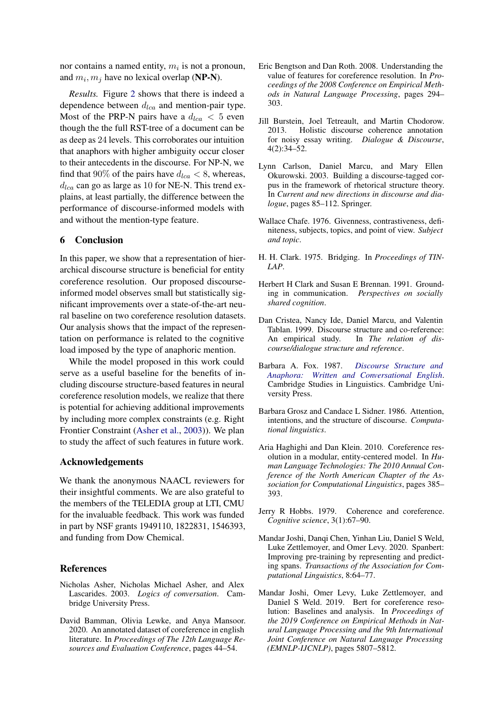nor contains a named entity,  $m_i$  is not a pronoun, and  $m_i, m_j$  have no lexical overlap (**NP-N**).

*Results.* Figure [2](#page-3-4) shows that there is indeed a dependence between  $d_{lca}$  and mention-pair type. Most of the PRP-N pairs have a  $d_{lca} < 5$  even though the the full RST-tree of a document can be as deep as 24 levels. This corroborates our intuition that anaphors with higher ambiguity occur closer to their antecedents in the discourse. For NP-N, we find that 90% of the pairs have  $d_{lca} < 8$ , whereas,  $d_{lca}$  can go as large as 10 for NE-N. This trend explains, at least partially, the difference between the performance of discourse-informed models with and without the mention-type feature.

### 6 Conclusion

In this paper, we show that a representation of hierarchical discourse structure is beneficial for entity coreference resolution. Our proposed discourseinformed model observes small but statistically significant improvements over a state-of-the-art neural baseline on two coreference resolution datasets. Our analysis shows that the impact of the representation on performance is related to the cognitive load imposed by the type of anaphoric mention.

While the model proposed in this work could serve as a useful baseline for the benefits of including discourse structure-based features in neural coreference resolution models, we realize that there is potential for achieving additional improvements by including more complex constraints (e.g. Right Frontier Constraint [\(Asher et al.,](#page-4-14) [2003\)](#page-4-14)). We plan to study the affect of such features in future work.

### Acknowledgements

We thank the anonymous NAACL reviewers for their insightful comments. We are also grateful to the members of the TELEDIA group at LTI, CMU for the invaluable feedback. This work was funded in part by NSF grants 1949110, 1822831, 1546393, and funding from Dow Chemical.

#### References

- <span id="page-4-14"></span>Nicholas Asher, Nicholas Michael Asher, and Alex Lascarides. 2003. *Logics of conversation*. Cambridge University Press.
- <span id="page-4-11"></span>David Bamman, Olivia Lewke, and Anya Mansoor. 2020. An annotated dataset of coreference in english literature. In *Proceedings of The 12th Language Resources and Evaluation Conference*, pages 44–54.
- <span id="page-4-6"></span>Eric Bengtson and Dan Roth. 2008. Understanding the value of features for coreference resolution. In *Proceedings of the 2008 Conference on Empirical Methods in Natural Language Processing*, pages 294– 303.
- <span id="page-4-7"></span>Jill Burstein, Joel Tetreault, and Martin Chodorow. 2013. Holistic discourse coherence annotation for noisy essay writing. *Dialogue & Discourse*, 4(2):34–52.
- <span id="page-4-12"></span>Lynn Carlson, Daniel Marcu, and Mary Ellen Okurowski. 2003. Building a discourse-tagged corpus in the framework of rhetorical structure theory. In *Current and new directions in discourse and dialogue*, pages 85–112. Springer.
- <span id="page-4-0"></span>Wallace Chafe. 1976. Givenness, contrastiveness, definiteness, subjects, topics, and point of view. *Subject and topic*.
- <span id="page-4-13"></span>H. H. Clark. 1975. Bridging. In *Proceedings of TIN-LAP*.
- <span id="page-4-3"></span>Herbert H Clark and Susan E Brennan. 1991. Grounding in communication. *Perspectives on socially shared cognition*.
- <span id="page-4-8"></span>Dan Cristea, Nancy Ide, Daniel Marcu, and Valentin Tablan. 1999. Discourse structure and co-reference:<br>An empirical study. In *The relation of dis-*In *The relation of discourse/dialogue structure and reference*.
- <span id="page-4-9"></span>Barbara A. Fox. 1987. *[Discourse Structure and](https://doi.org/10.1017/CBO9780511627767) [Anaphora: Written and Conversational English](https://doi.org/10.1017/CBO9780511627767)*. Cambridge Studies in Linguistics. Cambridge University Press.
- <span id="page-4-2"></span>Barbara Grosz and Candace L Sidner. 1986. Attention, intentions, and the structure of discourse. *Computational linguistics*.
- <span id="page-4-10"></span>Aria Haghighi and Dan Klein. 2010. Coreference resolution in a modular, entity-centered model. In *Human Language Technologies: The 2010 Annual Conference of the North American Chapter of the Association for Computational Linguistics*, pages 385– 393.
- <span id="page-4-1"></span>Jerry R Hobbs. 1979. Coherence and coreference. *Cognitive science*, 3(1):67–90.
- <span id="page-4-5"></span>Mandar Joshi, Danqi Chen, Yinhan Liu, Daniel S Weld, Luke Zettlemoyer, and Omer Levy. 2020. Spanbert: Improving pre-training by representing and predicting spans. *Transactions of the Association for Computational Linguistics*, 8:64–77.
- <span id="page-4-4"></span>Mandar Joshi, Omer Levy, Luke Zettlemoyer, and Daniel S Weld. 2019. Bert for coreference resolution: Baselines and analysis. In *Proceedings of the 2019 Conference on Empirical Methods in Natural Language Processing and the 9th International Joint Conference on Natural Language Processing (EMNLP-IJCNLP)*, pages 5807–5812.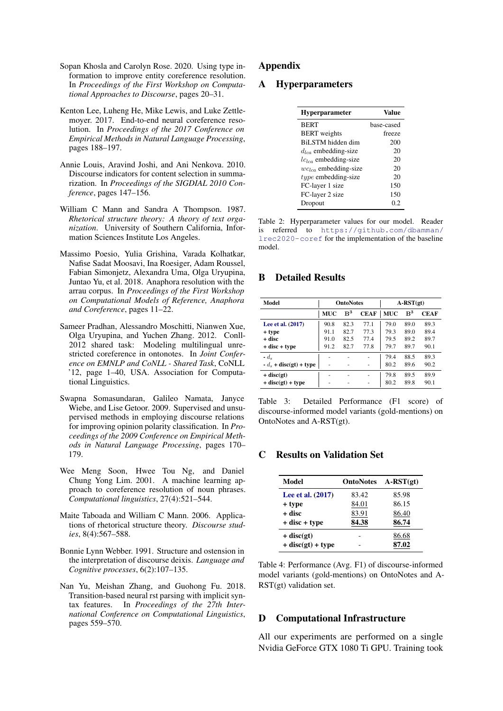- <span id="page-5-2"></span>Sopan Khosla and Carolyn Rose. 2020. Using type information to improve entity coreference resolution. In *Proceedings of the First Workshop on Computational Approaches to Discourse*, pages 20–31.
- <span id="page-5-0"></span>Kenton Lee, Luheng He, Mike Lewis, and Luke Zettlemoyer. 2017. End-to-end neural coreference resolution. In *Proceedings of the 2017 Conference on Empirical Methods in Natural Language Processing*, pages 188–197.
- <span id="page-5-3"></span>Annie Louis, Aravind Joshi, and Ani Nenkova. 2010. Discourse indicators for content selection in summarization. In *Proceedings of the SIGDIAL 2010 Conference*, pages 147–156.
- <span id="page-5-5"></span>William C Mann and Sandra A Thompson. 1987. *Rhetorical structure theory: A theory of text organization*. University of Southern California, Information Sciences Institute Los Angeles.
- <span id="page-5-9"></span>Massimo Poesio, Yulia Grishina, Varada Kolhatkar, Nafise Sadat Moosavi, Ina Roesiger, Adam Roussel, Fabian Simonjetz, Alexandra Uma, Olga Uryupina, Juntao Yu, et al. 2018. Anaphora resolution with the arrau corpus. In *Proceedings of the First Workshop on Computational Models of Reference, Anaphora and Coreference*, pages 11–22.
- <span id="page-5-8"></span>Sameer Pradhan, Alessandro Moschitti, Nianwen Xue, Olga Uryupina, and Yuchen Zhang. 2012. Conll-2012 shared task: Modeling multilingual unrestricted coreference in ontonotes. In *Joint Conference on EMNLP and CoNLL - Shared Task*, CoNLL '12, page 1–40, USA. Association for Computational Linguistics.
- <span id="page-5-4"></span>Swapna Somasundaran, Galileo Namata, Janyce Wiebe, and Lise Getoor. 2009. Supervised and unsupervised methods in employing discourse relations for improving opinion polarity classification. In *Proceedings of the 2009 Conference on Empirical Methods in Natural Language Processing*, pages 170– 179.
- <span id="page-5-1"></span>Wee Meng Soon, Hwee Tou Ng, and Daniel Chung Yong Lim. 2001. A machine learning approach to coreference resolution of noun phrases. *Computational linguistics*, 27(4):521–544.
- <span id="page-5-7"></span>Maite Taboada and William C Mann. 2006. Applications of rhetorical structure theory. *Discourse studies*, 8(4):567–588.
- <span id="page-5-10"></span>Bonnie Lynn Webber. 1991. Structure and ostension in the interpretation of discourse deixis. *Language and Cognitive processes*, 6(2):107–135.
- <span id="page-5-6"></span>Nan Yu, Meishan Zhang, and Guohong Fu. 2018. Transition-based neural rst parsing with implicit syntax features. In *Proceedings of the 27th International Conference on Computational Linguistics*, pages 559–570.

# Appendix

### A Hyperparameters

| <b>Hyperparameter</b>     | Value      |  |  |
|---------------------------|------------|--|--|
| <b>BERT</b>               | base-cased |  |  |
| <b>BERT</b> weights       | freeze     |  |  |
| BiLSTM hidden dim         | 200        |  |  |
| $d_{lca}$ embedding-size  | 20         |  |  |
| $lc_{lca}$ embedding-size | 20         |  |  |
| $wc_{lca}$ embedding-size | 20         |  |  |
| $type$ embedding-size     | 20         |  |  |
| FC-layer 1 size           | 150        |  |  |
| FC-layer 2 size           | 150        |  |  |
| Dropout                   | 0.2        |  |  |

Table 2: Hyperparameter values for our model. Reader is referred to [https://github.com/dbamman/](https://github.com/dbamman/lrec2020-coref) [lrec2020-coref](https://github.com/dbamman/lrec2020-coref) for the implementation of the baseline model.

# B Detailed Results

| Model                    | <b>OntoNotes</b> |                |             | $A-RST(gt)$ |                |             |
|--------------------------|------------------|----------------|-------------|-------------|----------------|-------------|
|                          | <b>MUC</b>       | B <sup>3</sup> | <b>CEAF</b> | <b>MUC</b>  | B <sup>3</sup> | <b>CEAF</b> |
| Lee et al. (2017)        | 90.8             | 82.3           | 77.1        | 79.0        | 89.0           | 89.3        |
| + type                   | 91.1             | 82.7           | 77.3        | 79.3        | 89.0           | 89.4        |
| + disc                   | 91.0             | 82.5           | 77.4        | 79.5        | 89.2           | 89.7        |
| $+$ disc $+$ type        | 91.2             | 82.7           | 77.8        | 79.7        | 89.7           | 90.1        |
| $-d_{s}$                 | ۰                |                |             | 79.4        | 88.5           | 89.3        |
| $-d_s$ + disc(gt) + type |                  |                |             | 80.2        | 89.6           | 90.2        |
| $+$ disc(gt)             | ۰                | -              |             | 79.8        | 89.5           | 89.9        |
| $+$ disc(gt) + type      |                  |                |             | 80.2        | 89.8           | 90.1        |

Table 3: Detailed Performance (F1 score) of discourse-informed model variants (gold-mentions) on OntoNotes and A-RST(gt).

# C Results on Validation Set

| Model               | <b>OntoNotes</b> | $A-RST(gt)$ |
|---------------------|------------------|-------------|
| Lee et al. (2017)   | 83.42            | 85.98       |
| + type              | 84.01            | 86.15       |
| + disc              | 83.91            | 86.40       |
| $+$ disc $+$ type   | 84.38            | 86.74       |
| $+$ disc(gt)        |                  | 86.68       |
| $+$ disc(gt) + type |                  | 87.02       |

Table 4: Performance (Avg. F1) of discourse-informed model variants (gold-mentions) on OntoNotes and A-RST(gt) validation set.

### D Computational Infrastructure

All our experiments are performed on a single Nvidia GeForce GTX 1080 Ti GPU. Training took